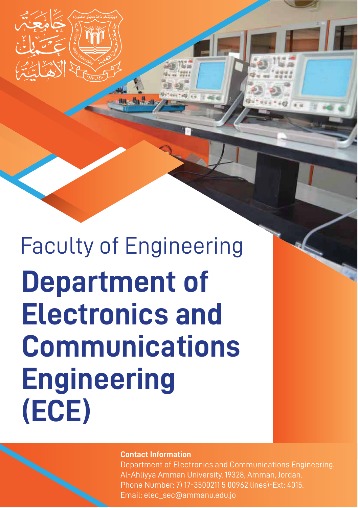Faculty of Engineering **Department of Electronics and Communications Engineering (ECE)**

#### **Contact Information**

Department of Electronics and Communications Engineering. Al-Ahliyya Amman University, 19328, Amman, Jordan. Phone Number: 7) 17-3500211 5 00962 lines)-Ext: 4015. Email: elec\_sec@ammanu.edu.jo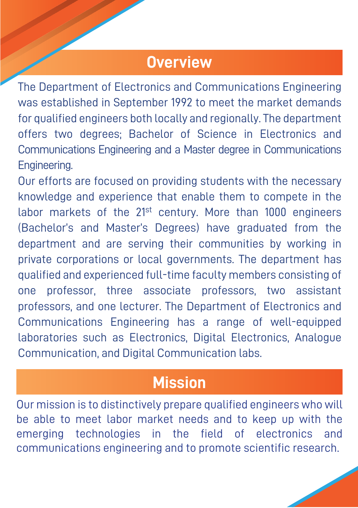### **Overview**

The Department of Electronics and Communications Engineering was established in September 1992 to meet the market demands for qualified engineers both locally and regionally. The department offers two degrees; Bachelor of Science in Electronics and Communications Engineering and a Master degree in Communications Engineering.

Our efforts are focused on providing students with the necessary knowledge and experience that enable them to compete in the labor markets of the 21<sup>st</sup> century. More than 1000 engineers (Bachelor's and Master's Degrees) have graduated from the department and are serving their communities by working in private corporations or local governments. The department has qualified and experienced full-time faculty members consisting of one professor, three associate professors, two assistant professors, and one lecturer. The Department of Electronics and Communications Engineering has a range of well-equipped laboratories such as Electronics, Digital Electronics, Analogue Communication, and Digital Communication labs.

## **Mission**

Our mission is to distinctively prepare qualified engineers who will be able to meet labor market needs and to keep up with the emerging technologies in the field of electronics and communications engineering and to promote scientific research.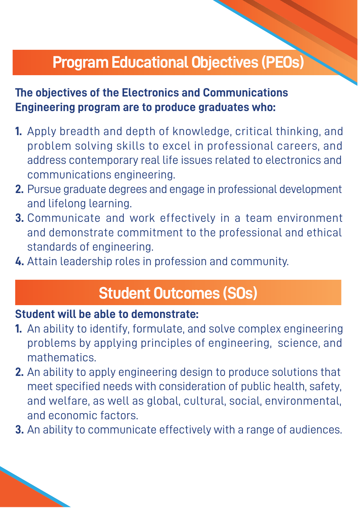# **Program Educational Objectives (PEOs)**

### **The objectives of the Electronics and Communications Engineering program are to produce graduates who:**

- **1.** Apply breadth and depth of knowledge, critical thinking, and problem solving skills to excel in professional careers, and address contemporary real life issues related to electronics and communications engineering.
- **2.** Pursue graduate degrees and engage in professional development and lifelong learning.
- **3.** Communicate and work effectively in a team environment and demonstrate commitment to the professional and ethical standards of engineering.
- **4.** Attain leadership roles in profession and community.

### **Student Outcomes (SOs)**

#### **Student will be able to demonstrate:**

- **1.** An ability to identify, formulate, and solve complex engineering problems by applying principles of engineering, science, and mathematics.
- **2.** An ability to apply engineering design to produce solutions that meet specified needs with consideration of public health, safety, and welfare, as well as global, cultural, social, environmental, and economic factors.
- **3.** An ability to communicate effectively with a range of audiences.